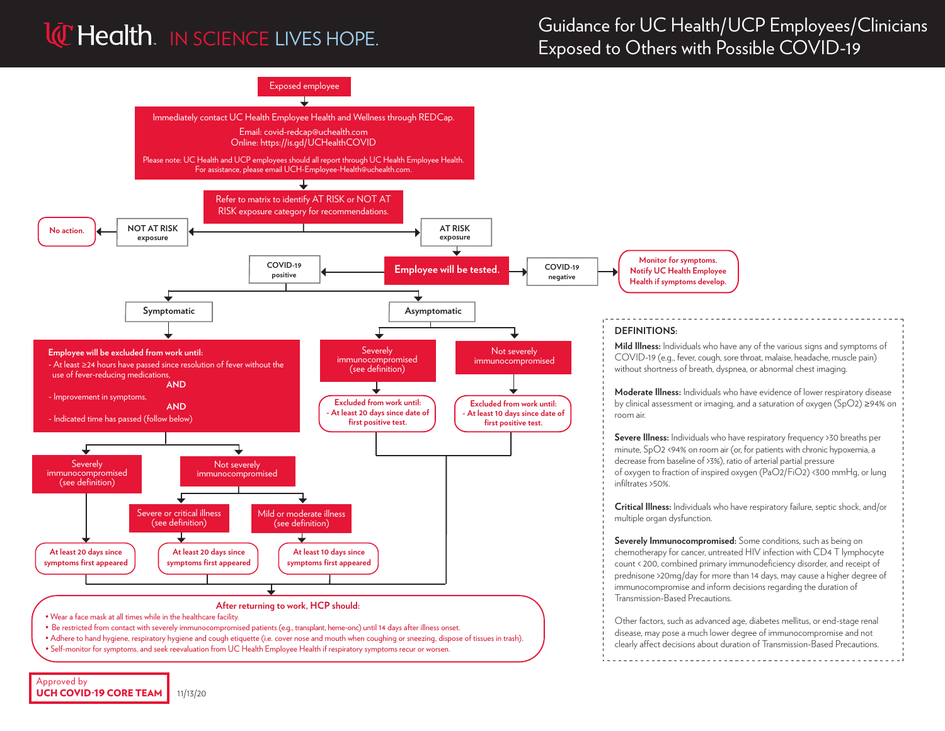